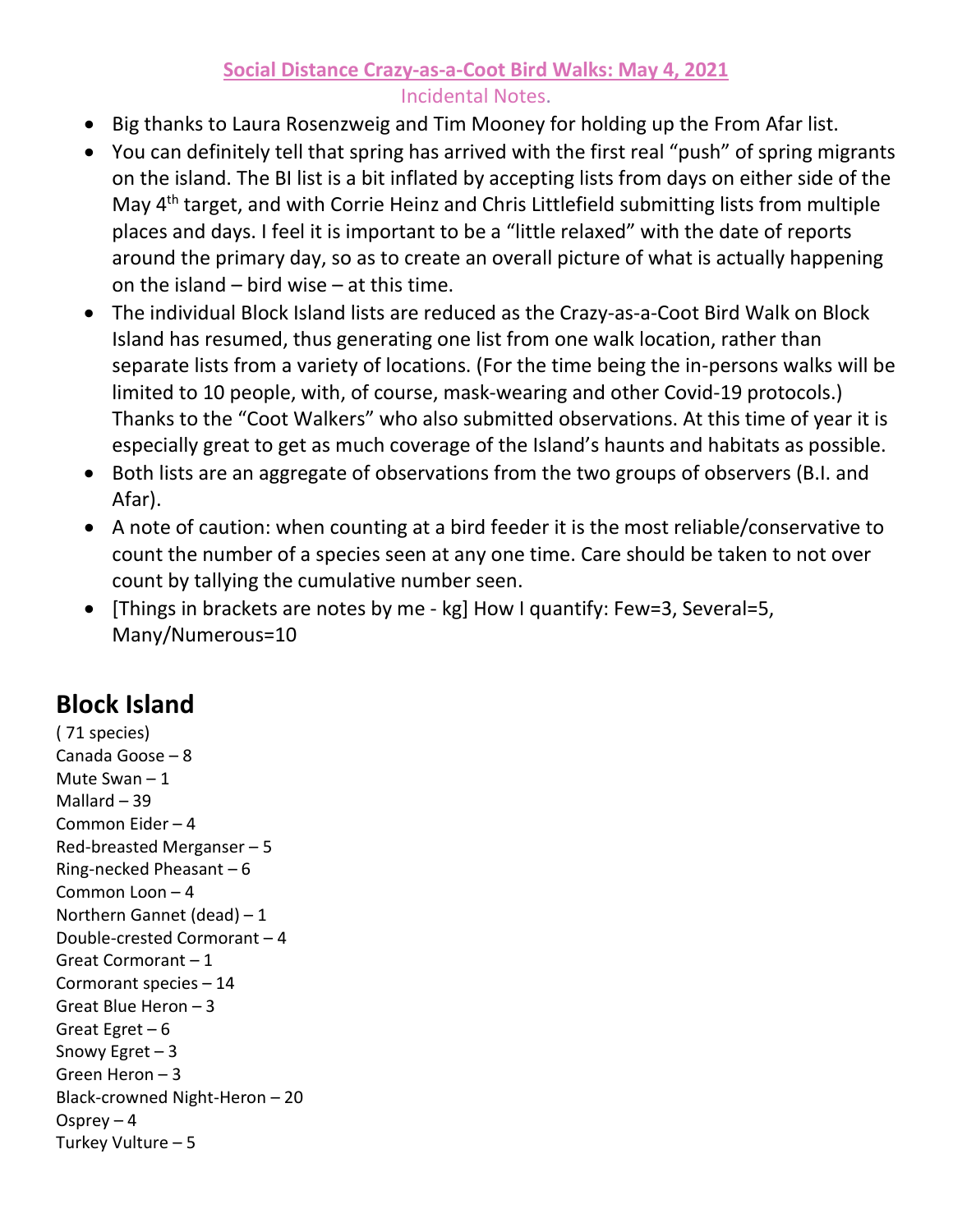## **Social Distance Crazy-as-a-Coot Bird Walks: May 4, 2021** Incidental Notes.

- Big thanks to Laura Rosenzweig and Tim Mooney for holding up the From Afar list.
- You can definitely tell that spring has arrived with the first real "push" of spring migrants on the island. The BI list is a bit inflated by accepting lists from days on either side of the May 4<sup>th</sup> target, and with Corrie Heinz and Chris Littlefield submitting lists from multiple places and days. I feel it is important to be a "little relaxed" with the date of reports around the primary day, so as to create an overall picture of what is actually happening on the island – bird wise – at this time.
- The individual Block Island lists are reduced as the Crazy-as-a-Coot Bird Walk on Block Island has resumed, thus generating one list from one walk location, rather than separate lists from a variety of locations. (For the time being the in-persons walks will be limited to 10 people, with, of course, mask-wearing and other Covid-19 protocols.) Thanks to the "Coot Walkers" who also submitted observations. At this time of year it is especially great to get as much coverage of the Island's haunts and habitats as possible.
- Both lists are an aggregate of observations from the two groups of observers (B.I. and Afar).
- A note of caution: when counting at a bird feeder it is the most reliable/conservative to count the number of a species seen at any one time. Care should be taken to not over count by tallying the cumulative number seen.
- [Things in brackets are notes by me kg] How I quantify: Few=3, Several=5, Many/Numerous=10

## **Block Island**

( 71 species) Canada Goose – 8 Mute Swan – 1 Mallard – 39 Common Eider – 4 Red-breasted Merganser – 5 Ring-necked Pheasant – 6 Common Loon – 4 Northern Gannet (dead) – 1 Double-crested Cormorant – 4 Great Cormorant – 1 Cormorant species – 14 Great Blue Heron – 3 Great Egret – 6 Snowy Egret – 3 Green Heron – 3 Black-crowned Night-Heron – 20 Osprey  $-4$ Turkey Vulture – 5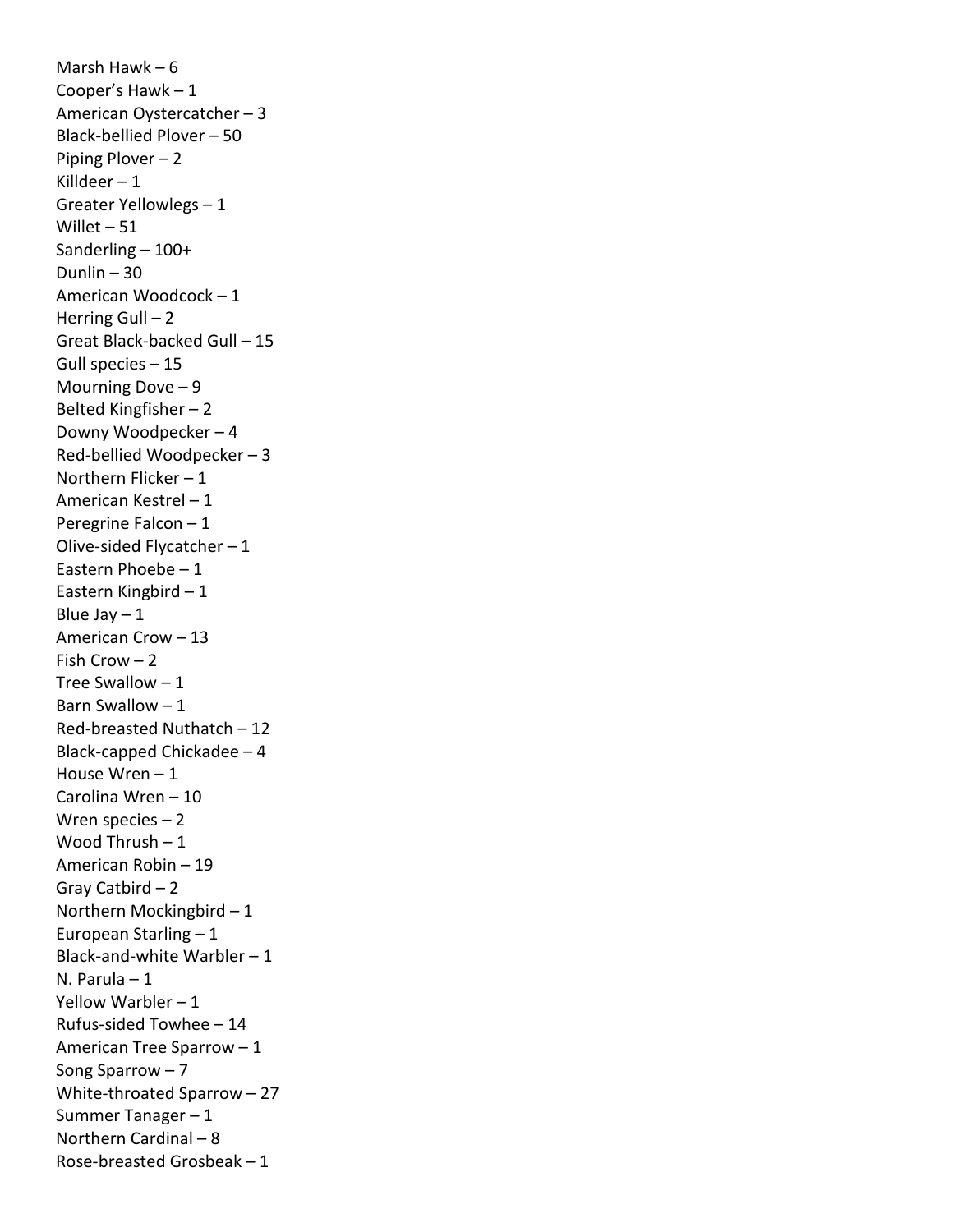Marsh Hawk – 6 Cooper's Hawk – 1 American Oystercatcher – 3 Black-bellied Plover – 50 Piping Plover – 2 Killdeer  $-1$ Greater Yellowlegs – 1 Willet – 51 Sanderling – 100+ Dunlin – 30 American Woodcock – 1 Herring Gull  $-2$ Great Black-backed Gull – 15 Gull species – 15 Mourning Dove  $-9$ Belted Kingfisher – 2 Downy Woodpecker – 4 Red-bellied Woodpecker – 3 Northern Flicker – 1 American Kestrel – 1 Peregrine Falcon – 1 Olive-sided Flycatcher – 1 Eastern Phoebe – 1 Eastern Kingbird – 1 Blue Jay  $-1$ American Crow – 13 Fish Crow – 2 Tree Swallow  $-1$ Barn Swallow  $-1$ Red-breasted Nuthatch – 12 Black-capped Chickadee – 4 House Wren – 1 Carolina Wren – 10 Wren species – 2 Wood Thrush – 1 American Robin – 19 Gray Catbird – 2 Northern Mockingbird – 1 European Starling – 1 Black-and-white Warbler – 1 N. Parula – 1 Yellow Warbler – 1 Rufus-sided Towhee – 14 American Tree Sparrow – 1 Song Sparrow – 7 White-throated Sparrow – 27 Summer Tanager – 1 Northern Cardinal – 8 Rose-breasted Grosbeak – 1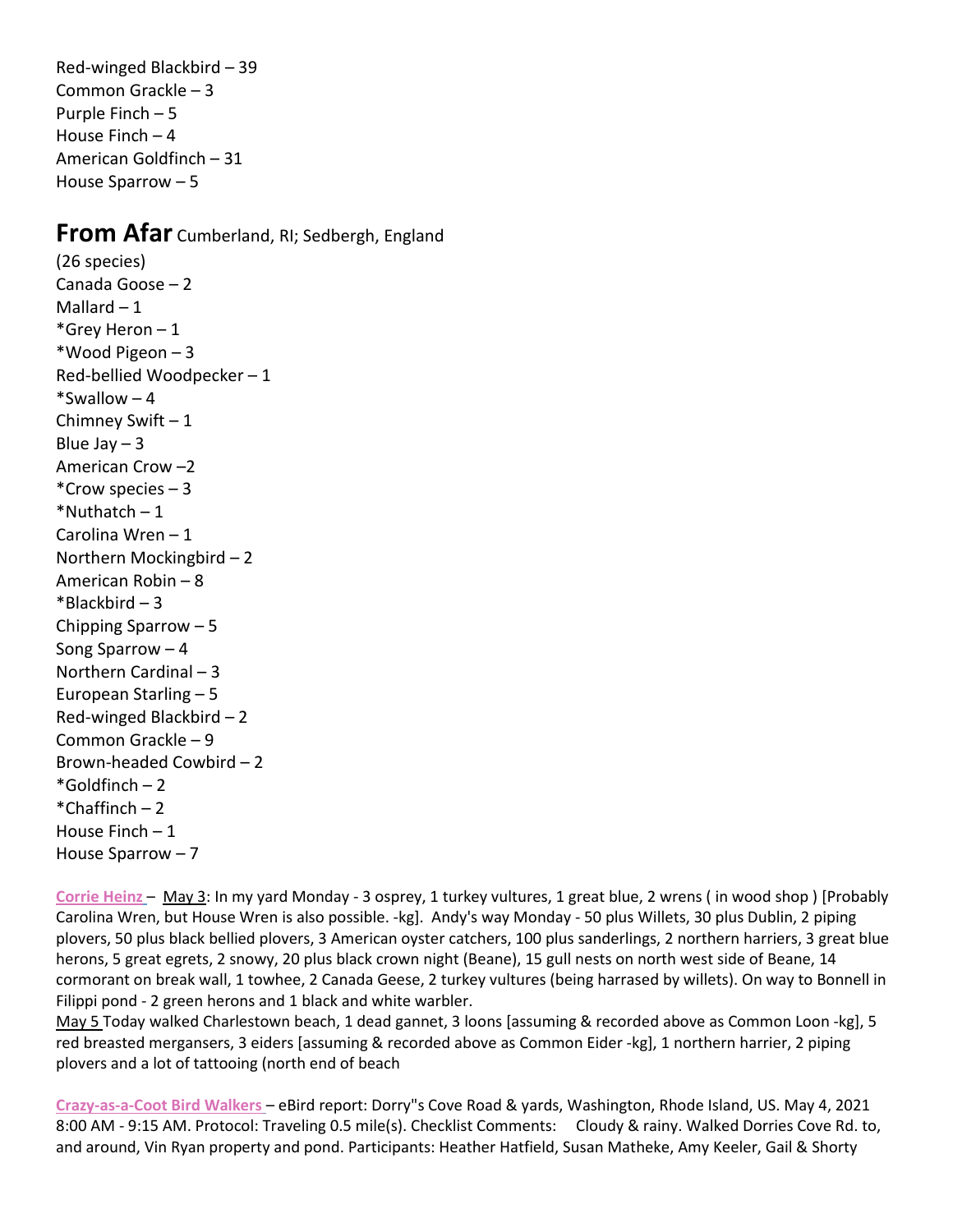Red-winged Blackbird – 39 Common Grackle – 3 Purple Finch – 5 House Finch – 4 American Goldfinch – 31 House Sparrow – 5

## **From Afar** Cumberland, RI; Sedbergh, England

(26 species) Canada Goose – 2 Mallard  $-1$ \*Grey Heron – 1 \*Wood Pigeon – 3 Red-bellied Woodpecker – 1  $*$ Swallow – 4 Chimney Swift – 1 Blue Jay  $-3$ American Crow –2 \*Crow species – 3  $*$ Nuthatch – 1 Carolina Wren – 1 Northern Mockingbird – 2 American Robin – 8  $*Blackbird - 3$ Chipping Sparrow – 5 Song Sparrow – 4 Northern Cardinal – 3 European Starling – 5 Red-winged Blackbird – 2 Common Grackle – 9 Brown-headed Cowbird – 2  $*$ Goldfinch – 2  $***Chaffinch** - 2$ House Finch – 1 House Sparrow – 7

**Corrie Heinz** – May 3: In my yard Monday - 3 osprey, 1 turkey vultures, 1 great blue, 2 wrens ( in wood shop ) [Probably Carolina Wren, but House Wren is also possible. -kg]. Andy's way Monday - 50 plus Willets, 30 plus Dublin, 2 piping plovers, 50 plus black bellied plovers, 3 American oyster catchers, 100 plus sanderlings, 2 northern harriers, 3 great blue herons, 5 great egrets, 2 snowy, 20 plus black crown night (Beane), 15 gull nests on north west side of Beane, 14 cormorant on break wall, 1 towhee, 2 Canada Geese, 2 turkey vultures (being harrased by willets). On way to Bonnell in Filippi pond - 2 green herons and 1 black and white warbler.

May 5 Today walked Charlestown beach, 1 dead gannet, 3 loons [assuming & recorded above as Common Loon -kg], 5 red breasted mergansers, 3 eiders [assuming & recorded above as Common Eider -kg], 1 northern harrier, 2 piping plovers and a lot of tattooing (north end of beach

**Crazy-as-a-Coot Bird Walkers** – eBird report: Dorry"s Cove Road & yards, Washington, Rhode Island, US. May 4, 2021 8:00 AM - 9:15 AM. Protocol: Traveling 0.5 mile(s). Checklist Comments: Cloudy & rainy. Walked Dorries Cove Rd. to, and around, Vin Ryan property and pond. Participants: Heather Hatfield, Susan Matheke, Amy Keeler, Gail & Shorty